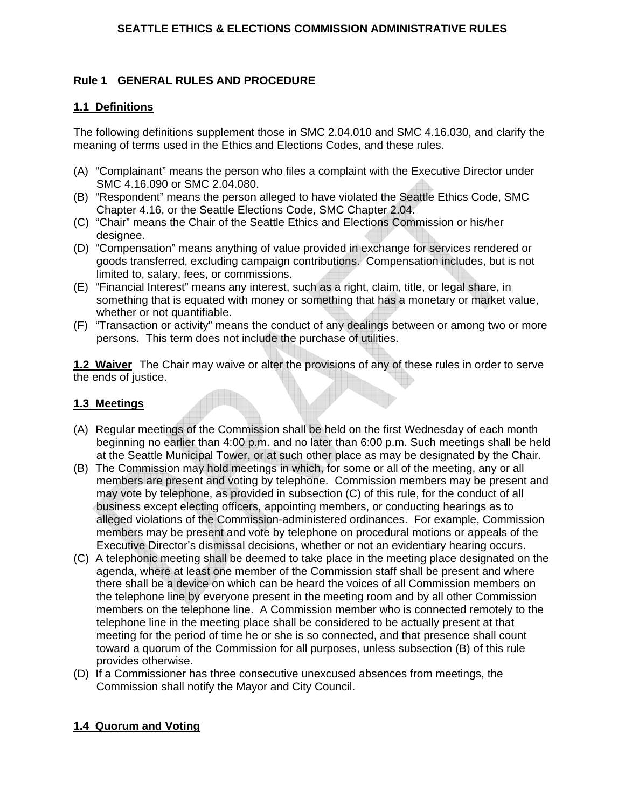## **Rule 1 GENERAL RULES AND PROCEDURE**

### **1.1 Definitions**

The following definitions supplement those in SMC 2.04.010 and SMC 4.16.030, and clarify the meaning of terms used in the Ethics and Elections Codes, and these rules.

- (A) "Complainant" means the person who files a complaint with the Executive Director under SMC 4.16.090 or SMC 2.04.080.
- (B) "Respondent" means the person alleged to have violated the Seattle Ethics Code, SMC Chapter 4.16, or the Seattle Elections Code, SMC Chapter 2.04.
- (C) "Chair" means the Chair of the Seattle Ethics and Elections Commission or his/her designee.
- (D) "Compensation" means anything of value provided in exchange for services rendered or goods transferred, excluding campaign contributions. Compensation includes, but is not limited to, salary, fees, or commissions.
- (E) "Financial Interest" means any interest, such as a right, claim, title, or legal share, in something that is equated with money or something that has a monetary or market value, whether or not quantifiable.
- (F) "Transaction or activity" means the conduct of any dealings between or among two or more persons. This term does not include the purchase of utilities.

**1.2 Waiver** The Chair may waive or alter the provisions of any of these rules in order to serve the ends of justice.

#### **1.3 Meetings**

- (A) Regular meetings of the Commission shall be held on the first Wednesday of each month beginning no earlier than 4:00 p.m. and no later than 6:00 p.m. Such meetings shall be held at the Seattle Municipal Tower, or at such other place as may be designated by the Chair.
- (B) The Commission may hold meetings in which, for some or all of the meeting, any or all members are present and voting by telephone. Commission members may be present and may vote by telephone, as provided in subsection (C) of this rule, for the conduct of all business except electing officers, appointing members, or conducting hearings as to alleged violations of the Commission-administered ordinances. For example, Commission members may be present and vote by telephone on procedural motions or appeals of the Executive Director's dismissal decisions, whether or not an evidentiary hearing occurs.
- (C) A telephonic meeting shall be deemed to take place in the meeting place designated on the agenda, where at least one member of the Commission staff shall be present and where there shall be a device on which can be heard the voices of all Commission members on the telephone line by everyone present in the meeting room and by all other Commission members on the telephone line. A Commission member who is connected remotely to the telephone line in the meeting place shall be considered to be actually present at that meeting for the period of time he or she is so connected, and that presence shall count toward a quorum of the Commission for all purposes, unless subsection (B) of this rule provides otherwise.
- (D) If a Commissioner has three consecutive unexcused absences from meetings, the Commission shall notify the Mayor and City Council.

# **1.4 Quorum and Voting**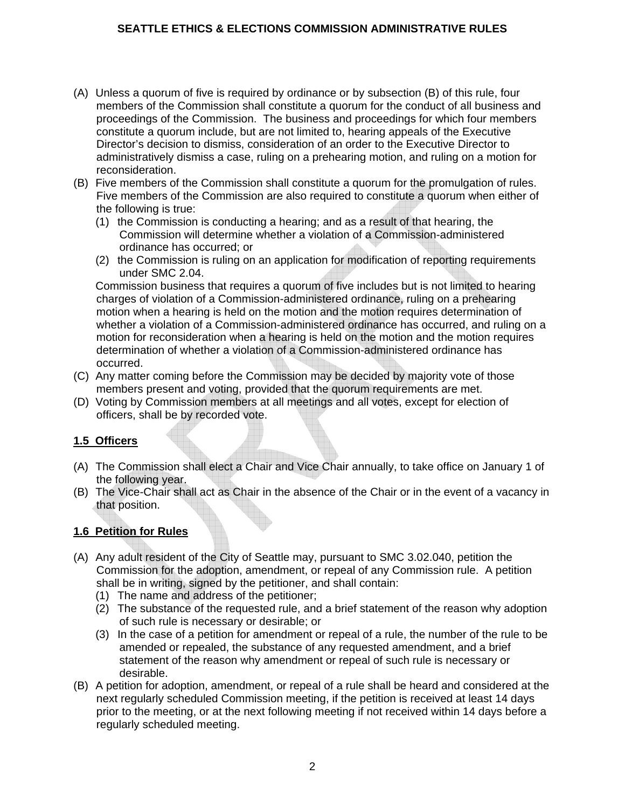- (A) Unless a quorum of five is required by ordinance or by subsection (B) of this rule, four members of the Commission shall constitute a quorum for the conduct of all business and proceedings of the Commission. The business and proceedings for which four members constitute a quorum include, but are not limited to, hearing appeals of the Executive Director's decision to dismiss, consideration of an order to the Executive Director to administratively dismiss a case, ruling on a prehearing motion, and ruling on a motion for reconsideration.
- (B) Five members of the Commission shall constitute a quorum for the promulgation of rules. Five members of the Commission are also required to constitute a quorum when either of the following is true:
	- (1) the Commission is conducting a hearing; and as a result of that hearing, the Commission will determine whether a violation of a Commission-administered ordinance has occurred; or
	- (2) the Commission is ruling on an application for modification of reporting requirements under SMC 2.04.

 Commission business that requires a quorum of five includes but is not limited to hearing charges of violation of a Commission-administered ordinance, ruling on a prehearing motion when a hearing is held on the motion and the motion requires determination of whether a violation of a Commission-administered ordinance has occurred, and ruling on a motion for reconsideration when a hearing is held on the motion and the motion requires determination of whether a violation of a Commission-administered ordinance has occurred.

- (C) Any matter coming before the Commission may be decided by majority vote of those members present and voting, provided that the quorum requirements are met.
- (D) Voting by Commission members at all meetings and all votes, except for election of officers, shall be by recorded vote.

# **1.5 Officers**

- (A) The Commission shall elect a Chair and Vice Chair annually, to take office on January 1 of the following year.
- (B) The Vice-Chair shall act as Chair in the absence of the Chair or in the event of a vacancy in that position.

#### **1.6 Petition for Rules**

- (A) Any adult resident of the City of Seattle may, pursuant to SMC 3.02.040, petition the Commission for the adoption, amendment, or repeal of any Commission rule. A petition shall be in writing, signed by the petitioner, and shall contain:
	- (1) The name and address of the petitioner;
	- (2) The substance of the requested rule, and a brief statement of the reason why adoption of such rule is necessary or desirable; or
	- (3) In the case of a petition for amendment or repeal of a rule, the number of the rule to be amended or repealed, the substance of any requested amendment, and a brief statement of the reason why amendment or repeal of such rule is necessary or desirable.
- (B) A petition for adoption, amendment, or repeal of a rule shall be heard and considered at the next regularly scheduled Commission meeting, if the petition is received at least 14 days prior to the meeting, or at the next following meeting if not received within 14 days before a regularly scheduled meeting.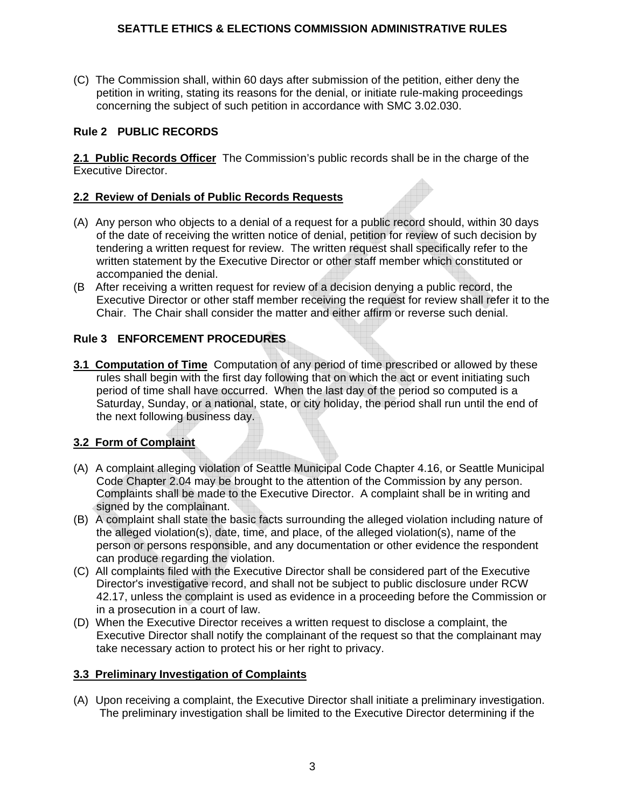(C) The Commission shall, within 60 days after submission of the petition, either deny the petition in writing, stating its reasons for the denial, or initiate rule-making proceedings concerning the subject of such petition in accordance with SMC 3.02.030.

## **Rule 2 PUBLIC RECORDS**

**2.1 Public Records Officer** The Commission's public records shall be in the charge of the Executive Director.

## **2.2 Review of Denials of Public Records Requests**

- (A) Any person who objects to a denial of a request for a public record should, within 30 days of the date of receiving the written notice of denial, petition for review of such decision by tendering a written request for review. The written request shall specifically refer to the written statement by the Executive Director or other staff member which constituted or accompanied the denial.
- (B After receiving a written request for review of a decision denying a public record, the Executive Director or other staff member receiving the request for review shall refer it to the Chair. The Chair shall consider the matter and either affirm or reverse such denial.

## **Rule 3 ENFORCEMENT PROCEDURES**

**3.1 Computation of Time** Computation of any period of time prescribed or allowed by these rules shall begin with the first day following that on which the act or event initiating such period of time shall have occurred. When the last day of the period so computed is a Saturday, Sunday, or a national, state, or city holiday, the period shall run until the end of the next following business day.

# **3.2 Form of Complaint**

- (A) A complaint alleging violation of Seattle Municipal Code Chapter 4.16, or Seattle Municipal Code Chapter 2.04 may be brought to the attention of the Commission by any person. Complaints shall be made to the Executive Director. A complaint shall be in writing and signed by the complainant.
- (B) A complaint shall state the basic facts surrounding the alleged violation including nature of the alleged violation(s), date, time, and place, of the alleged violation(s), name of the person or persons responsible, and any documentation or other evidence the respondent can produce regarding the violation.
- (C) All complaints filed with the Executive Director shall be considered part of the Executive Director's investigative record, and shall not be subject to public disclosure under RCW 42.17, unless the complaint is used as evidence in a proceeding before the Commission or in a prosecution in a court of law.
- (D) When the Executive Director receives a written request to disclose a complaint, the Executive Director shall notify the complainant of the request so that the complainant may take necessary action to protect his or her right to privacy.

#### **3.3 Preliminary Investigation of Complaints**

(A) Upon receiving a complaint, the Executive Director shall initiate a preliminary investigation. The preliminary investigation shall be limited to the Executive Director determining if the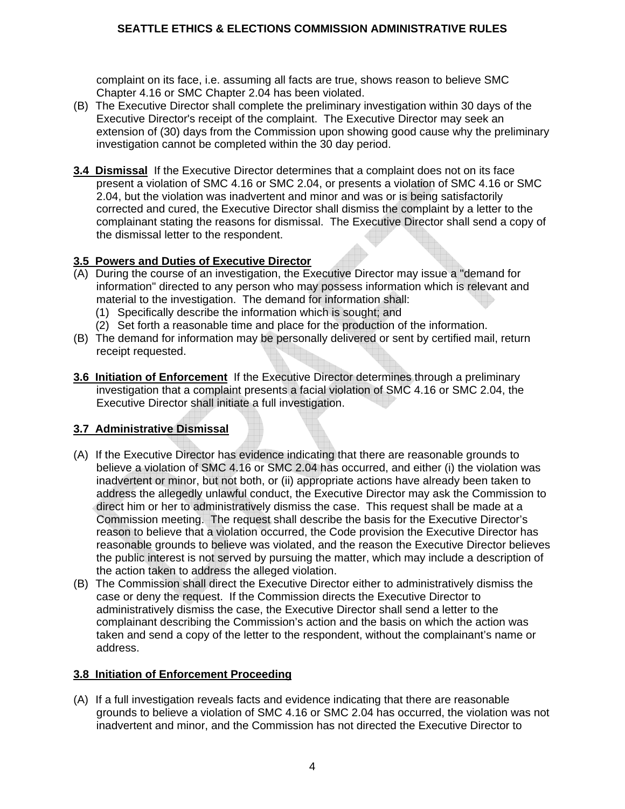complaint on its face, i.e. assuming all facts are true, shows reason to believe SMC Chapter 4.16 or SMC Chapter 2.04 has been violated.

- (B) The Executive Director shall complete the preliminary investigation within 30 days of the Executive Director's receipt of the complaint. The Executive Director may seek an extension of (30) days from the Commission upon showing good cause why the preliminary investigation cannot be completed within the 30 day period.
- **3.4 Dismissal** If the Executive Director determines that a complaint does not on its face present a violation of SMC 4.16 or SMC 2.04, or presents a violation of SMC 4.16 or SMC 2.04, but the violation was inadvertent and minor and was or is being satisfactorily corrected and cured, the Executive Director shall dismiss the complaint by a letter to the complainant stating the reasons for dismissal. The Executive Director shall send a copy of the dismissal letter to the respondent.

## **3.5 Powers and Duties of Executive Director**

- (A) During the course of an investigation, the Executive Director may issue a "demand for information" directed to any person who may possess information which is relevant and material to the investigation. The demand for information shall:
	- (1) Specifically describe the information which is sought; and
	- (2) Set forth a reasonable time and place for the production of the information.
- (B) The demand for information may be personally delivered or sent by certified mail, return receipt requested.
- **3.6 Initiation of Enforcement** If the Executive Director determines through a preliminary investigation that a complaint presents a facial violation of SMC 4.16 or SMC 2.04, the Executive Director shall initiate a full investigation.

# **3.7 Administrative Dismissal**

- (A) If the Executive Director has evidence indicating that there are reasonable grounds to believe a violation of SMC 4.16 or SMC 2.04 has occurred, and either (i) the violation was inadvertent or minor, but not both, or (ii) appropriate actions have already been taken to address the allegedly unlawful conduct, the Executive Director may ask the Commission to direct him or her to administratively dismiss the case. This request shall be made at a Commission meeting. The request shall describe the basis for the Executive Director's reason to believe that a violation occurred, the Code provision the Executive Director has reasonable grounds to believe was violated, and the reason the Executive Director believes the public interest is not served by pursuing the matter, which may include a description of the action taken to address the alleged violation.
- (B) The Commission shall direct the Executive Director either to administratively dismiss the case or deny the request. If the Commission directs the Executive Director to administratively dismiss the case, the Executive Director shall send a letter to the complainant describing the Commission's action and the basis on which the action was taken and send a copy of the letter to the respondent, without the complainant's name or address.

#### **3.8 Initiation of Enforcement Proceeding**

(A) If a full investigation reveals facts and evidence indicating that there are reasonable grounds to believe a violation of SMC 4.16 or SMC 2.04 has occurred, the violation was not inadvertent and minor, and the Commission has not directed the Executive Director to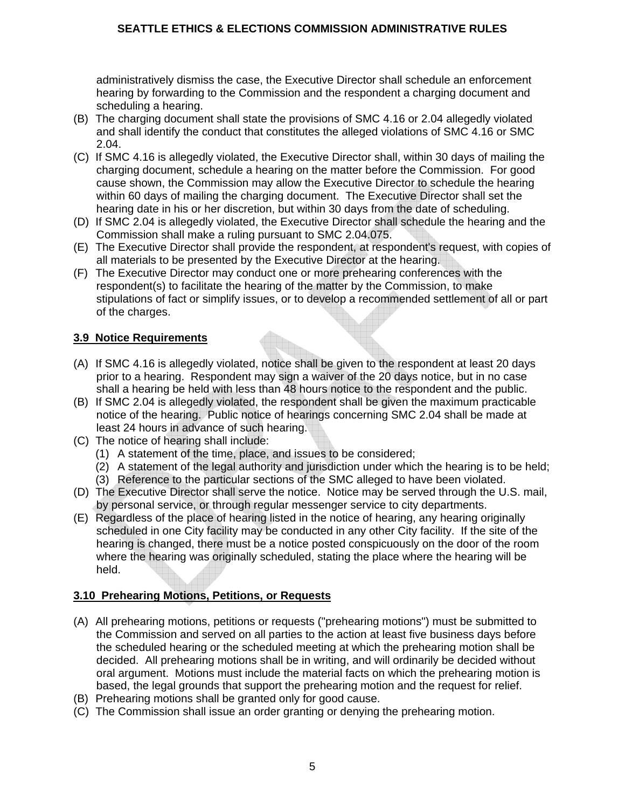administratively dismiss the case, the Executive Director shall schedule an enforcement hearing by forwarding to the Commission and the respondent a charging document and scheduling a hearing.

- (B) The charging document shall state the provisions of SMC 4.16 or 2.04 allegedly violated and shall identify the conduct that constitutes the alleged violations of SMC 4.16 or SMC 2.04.
- (C) If SMC 4.16 is allegedly violated, the Executive Director shall, within 30 days of mailing the charging document, schedule a hearing on the matter before the Commission. For good cause shown, the Commission may allow the Executive Director to schedule the hearing within 60 days of mailing the charging document. The Executive Director shall set the hearing date in his or her discretion, but within 30 days from the date of scheduling.
- (D) If SMC 2.04 is allegedly violated, the Executive Director shall schedule the hearing and the Commission shall make a ruling pursuant to SMC 2.04.075.
- (E) The Executive Director shall provide the respondent, at respondent's request, with copies of all materials to be presented by the Executive Director at the hearing.
- (F) The Executive Director may conduct one or more prehearing conferences with the respondent(s) to facilitate the hearing of the matter by the Commission, to make stipulations of fact or simplify issues, or to develop a recommended settlement of all or part of the charges.

## **3.9 Notice Requirements**

- (A) If SMC 4.16 is allegedly violated, notice shall be given to the respondent at least 20 days prior to a hearing. Respondent may sign a waiver of the 20 days notice, but in no case shall a hearing be held with less than 48 hours notice to the respondent and the public.
- (B) If SMC 2.04 is allegedly violated, the respondent shall be given the maximum practicable notice of the hearing. Public notice of hearings concerning SMC 2.04 shall be made at least 24 hours in advance of such hearing.
- (C) The notice of hearing shall include:
	- (1) A statement of the time, place, and issues to be considered;
	- (2) A statement of the legal authority and jurisdiction under which the hearing is to be held;
	- (3) Reference to the particular sections of the SMC alleged to have been violated.
- (D) The Executive Director shall serve the notice. Notice may be served through the U.S. mail, by personal service, or through regular messenger service to city departments.
- (E) Regardless of the place of hearing listed in the notice of hearing, any hearing originally scheduled in one City facility may be conducted in any other City facility. If the site of the hearing is changed, there must be a notice posted conspicuously on the door of the room where the hearing was originally scheduled, stating the place where the hearing will be held.

# **3.10 Prehearing Motions, Petitions, or Requests**

- (A) All prehearing motions, petitions or requests ("prehearing motions") must be submitted to the Commission and served on all parties to the action at least five business days before the scheduled hearing or the scheduled meeting at which the prehearing motion shall be decided. All prehearing motions shall be in writing, and will ordinarily be decided without oral argument. Motions must include the material facts on which the prehearing motion is based, the legal grounds that support the prehearing motion and the request for relief.
- (B) Prehearing motions shall be granted only for good cause.
- (C) The Commission shall issue an order granting or denying the prehearing motion.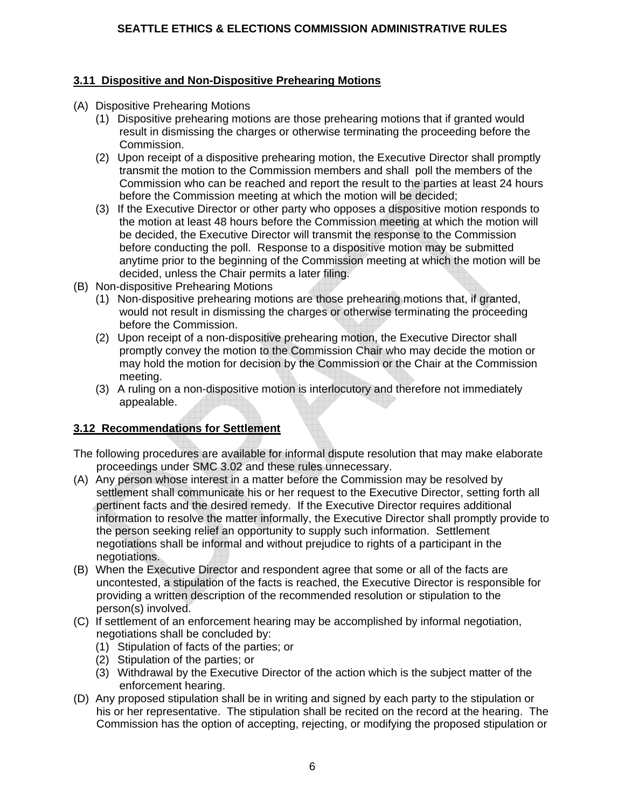## **3.11 Dispositive and Non-Dispositive Prehearing Motions**

- (A) Dispositive Prehearing Motions
	- (1) Dispositive prehearing motions are those prehearing motions that if granted would result in dismissing the charges or otherwise terminating the proceeding before the Commission.
	- (2) Upon receipt of a dispositive prehearing motion, the Executive Director shall promptly transmit the motion to the Commission members and shall poll the members of the Commission who can be reached and report the result to the parties at least 24 hours before the Commission meeting at which the motion will be decided;
	- (3) If the Executive Director or other party who opposes a dispositive motion responds to the motion at least 48 hours before the Commission meeting at which the motion will be decided, the Executive Director will transmit the response to the Commission before conducting the poll. Response to a dispositive motion may be submitted anytime prior to the beginning of the Commission meeting at which the motion will be decided, unless the Chair permits a later filing.
- (B) Non-dispositive Prehearing Motions
	- (1) Non-dispositive prehearing motions are those prehearing motions that, if granted, would not result in dismissing the charges or otherwise terminating the proceeding before the Commission.
	- (2) Upon receipt of a non-dispositive prehearing motion, the Executive Director shall promptly convey the motion to the Commission Chair who may decide the motion or may hold the motion for decision by the Commission or the Chair at the Commission meeting.
	- (3) A ruling on a non-dispositive motion is interlocutory and therefore not immediately appealable.

#### **3.12 Recommendations for Settlement**

- The following procedures are available for informal dispute resolution that may make elaborate proceedings under SMC 3.02 and these rules unnecessary.
- (A) Any person whose interest in a matter before the Commission may be resolved by settlement shall communicate his or her request to the Executive Director, setting forth all pertinent facts and the desired remedy. If the Executive Director requires additional information to resolve the matter informally, the Executive Director shall promptly provide to the person seeking relief an opportunity to supply such information. Settlement negotiations shall be informal and without prejudice to rights of a participant in the negotiations.
- (B) When the Executive Director and respondent agree that some or all of the facts are uncontested, a stipulation of the facts is reached, the Executive Director is responsible for providing a written description of the recommended resolution or stipulation to the person(s) involved.
- (C) If settlement of an enforcement hearing may be accomplished by informal negotiation, negotiations shall be concluded by:
	- (1) Stipulation of facts of the parties; or
	- (2) Stipulation of the parties; or
	- (3) Withdrawal by the Executive Director of the action which is the subject matter of the enforcement hearing.
- (D) Any proposed stipulation shall be in writing and signed by each party to the stipulation or his or her representative. The stipulation shall be recited on the record at the hearing. The Commission has the option of accepting, rejecting, or modifying the proposed stipulation or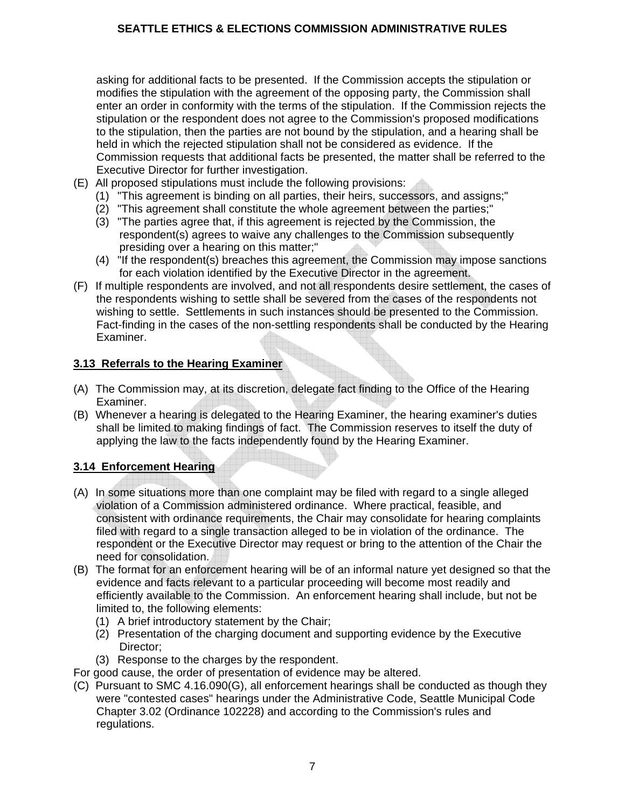asking for additional facts to be presented. If the Commission accepts the stipulation or modifies the stipulation with the agreement of the opposing party, the Commission shall enter an order in conformity with the terms of the stipulation. If the Commission rejects the stipulation or the respondent does not agree to the Commission's proposed modifications to the stipulation, then the parties are not bound by the stipulation, and a hearing shall be held in which the rejected stipulation shall not be considered as evidence. If the Commission requests that additional facts be presented, the matter shall be referred to the Executive Director for further investigation.

- (E) All proposed stipulations must include the following provisions:
	- (1) "This agreement is binding on all parties, their heirs, successors, and assigns;"
	- (2) "This agreement shall constitute the whole agreement between the parties;"
	- (3) "The parties agree that, if this agreement is rejected by the Commission, the respondent(s) agrees to waive any challenges to the Commission subsequently presiding over a hearing on this matter;"
	- (4) "If the respondent(s) breaches this agreement, the Commission may impose sanctions for each violation identified by the Executive Director in the agreement.
- (F) If multiple respondents are involved, and not all respondents desire settlement, the cases of the respondents wishing to settle shall be severed from the cases of the respondents not wishing to settle. Settlements in such instances should be presented to the Commission. Fact-finding in the cases of the non-settling respondents shall be conducted by the Hearing Examiner.

#### **3.13 Referrals to the Hearing Examiner**

- (A) The Commission may, at its discretion, delegate fact finding to the Office of the Hearing Examiner.
- (B) Whenever a hearing is delegated to the Hearing Examiner, the hearing examiner's duties shall be limited to making findings of fact. The Commission reserves to itself the duty of applying the law to the facts independently found by the Hearing Examiner.

#### **3.14 Enforcement Hearing**

- (A) In some situations more than one complaint may be filed with regard to a single alleged violation of a Commission administered ordinance. Where practical, feasible, and consistent with ordinance requirements, the Chair may consolidate for hearing complaints filed with regard to a single transaction alleged to be in violation of the ordinance. The respondent or the Executive Director may request or bring to the attention of the Chair the need for consolidation.
- (B) The format for an enforcement hearing will be of an informal nature yet designed so that the evidence and facts relevant to a particular proceeding will become most readily and efficiently available to the Commission. An enforcement hearing shall include, but not be limited to, the following elements:
	- (1) A brief introductory statement by the Chair;
	- (2) Presentation of the charging document and supporting evidence by the Executive Director;
	- (3) Response to the charges by the respondent.
- For good cause, the order of presentation of evidence may be altered.
- (C) Pursuant to SMC 4.16.090(G), all enforcement hearings shall be conducted as though they were "contested cases" hearings under the Administrative Code, Seattle Municipal Code Chapter 3.02 (Ordinance 102228) and according to the Commission's rules and regulations.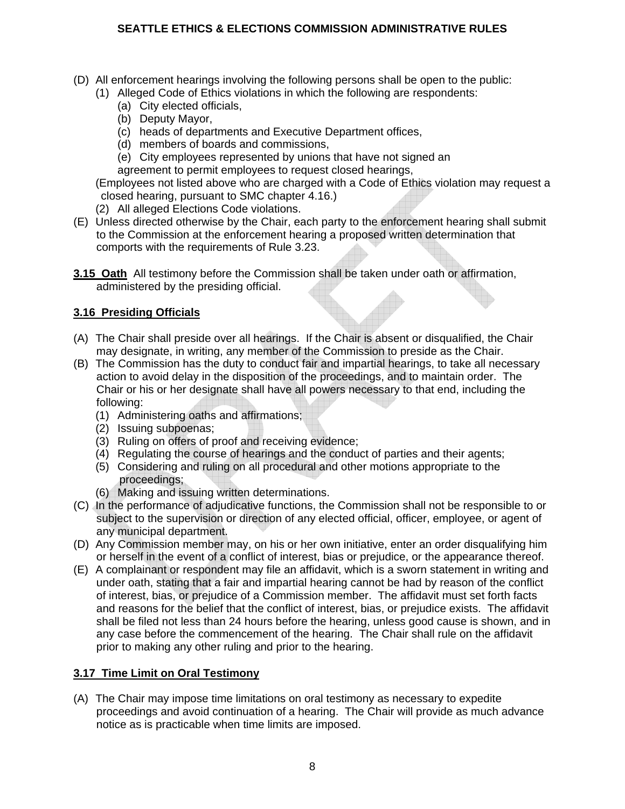- (D) All enforcement hearings involving the following persons shall be open to the public:
	- (1) Alleged Code of Ethics violations in which the following are respondents:
		- (a) City elected officials,
		- (b) Deputy Mayor,
		- (c) heads of departments and Executive Department offices,
		- (d) members of boards and commissions,
		- (e) City employees represented by unions that have not signed an agreement to permit employees to request closed hearings,

 (Employees not listed above who are charged with a Code of Ethics violation may request a closed hearing, pursuant to SMC chapter 4.16.)

- (2) All alleged Elections Code violations.
- (E) Unless directed otherwise by the Chair, each party to the enforcement hearing shall submit to the Commission at the enforcement hearing a proposed written determination that comports with the requirements of Rule 3.23.
- **3.15 Oath** All testimony before the Commission shall be taken under oath or affirmation, administered by the presiding official.

# **3.16 Presiding Officials**

- (A) The Chair shall preside over all hearings. If the Chair is absent or disqualified, the Chair may designate, in writing, any member of the Commission to preside as the Chair.
- (B) The Commission has the duty to conduct fair and impartial hearings, to take all necessary action to avoid delay in the disposition of the proceedings, and to maintain order. The Chair or his or her designate shall have all powers necessary to that end, including the following:
	- (1) Administering oaths and affirmations;
	- (2) Issuing subpoenas;
	- (3) Ruling on offers of proof and receiving evidence;
	- (4) Regulating the course of hearings and the conduct of parties and their agents;
	- (5) Considering and ruling on all procedural and other motions appropriate to the proceedings;
	- (6) Making and issuing written determinations.
- (C) In the performance of adjudicative functions, the Commission shall not be responsible to or subject to the supervision or direction of any elected official, officer, employee, or agent of any municipal department.
- (D) Any Commission member may, on his or her own initiative, enter an order disqualifying him or herself in the event of a conflict of interest, bias or prejudice, or the appearance thereof.
- (E) A complainant or respondent may file an affidavit, which is a sworn statement in writing and under oath, stating that a fair and impartial hearing cannot be had by reason of the conflict of interest, bias, or prejudice of a Commission member. The affidavit must set forth facts and reasons for the belief that the conflict of interest, bias, or prejudice exists. The affidavit shall be filed not less than 24 hours before the hearing, unless good cause is shown, and in any case before the commencement of the hearing. The Chair shall rule on the affidavit prior to making any other ruling and prior to the hearing.

# **3.17 Time Limit on Oral Testimony**

(A) The Chair may impose time limitations on oral testimony as necessary to expedite proceedings and avoid continuation of a hearing. The Chair will provide as much advance notice as is practicable when time limits are imposed.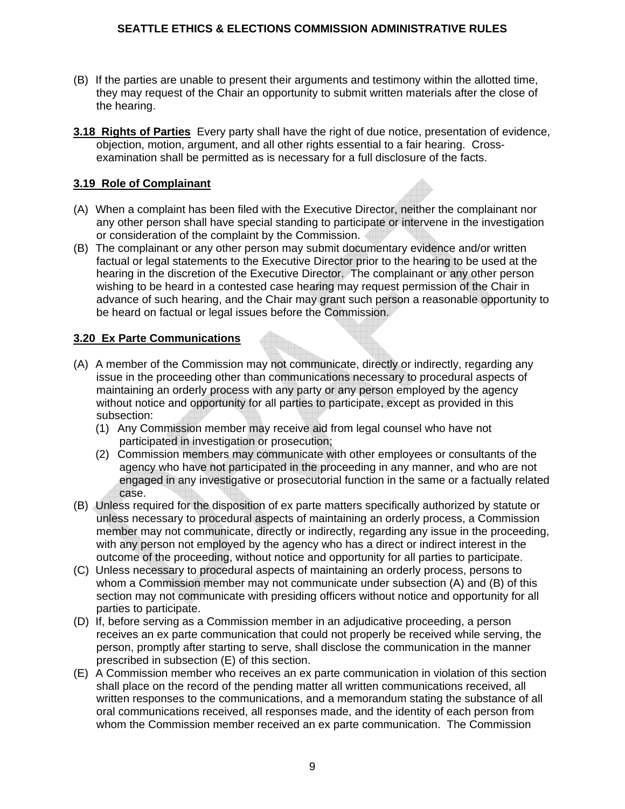- (B) If the parties are unable to present their arguments and testimony within the allotted time, they may request of the Chair an opportunity to submit written materials after the close of the hearing.
- **3.18 Rights of Parties** Every party shall have the right of due notice, presentation of evidence, objection, motion, argument, and all other rights essential to a fair hearing. Crossexamination shall be permitted as is necessary for a full disclosure of the facts.

## **3.19 Role of Complainant**

- (A) When a complaint has been filed with the Executive Director, neither the complainant nor any other person shall have special standing to participate or intervene in the investigation or consideration of the complaint by the Commission.
- (B) The complainant or any other person may submit documentary evidence and/or written factual or legal statements to the Executive Director prior to the hearing to be used at the hearing in the discretion of the Executive Director. The complainant or any other person wishing to be heard in a contested case hearing may request permission of the Chair in advance of such hearing, and the Chair may grant such person a reasonable opportunity to be heard on factual or legal issues before the Commission.

## **3.20 Ex Parte Communications**

- (A) A member of the Commission may not communicate, directly or indirectly, regarding any issue in the proceeding other than communications necessary to procedural aspects of maintaining an orderly process with any party or any person employed by the agency without notice and opportunity for all parties to participate, except as provided in this subsection:
	- (1) Any Commission member may receive aid from legal counsel who have not participated in investigation or prosecution;
	- (2) Commission members may communicate with other employees or consultants of the agency who have not participated in the proceeding in any manner, and who are not engaged in any investigative or prosecutorial function in the same or a factually related case.
- (B) Unless required for the disposition of ex parte matters specifically authorized by statute or unless necessary to procedural aspects of maintaining an orderly process, a Commission member may not communicate, directly or indirectly, regarding any issue in the proceeding, with any person not employed by the agency who has a direct or indirect interest in the outcome of the proceeding, without notice and opportunity for all parties to participate.
- (C) Unless necessary to procedural aspects of maintaining an orderly process, persons to whom a Commission member may not communicate under subsection (A) and (B) of this section may not communicate with presiding officers without notice and opportunity for all parties to participate.
- (D) If, before serving as a Commission member in an adjudicative proceeding, a person receives an ex parte communication that could not properly be received while serving, the person, promptly after starting to serve, shall disclose the communication in the manner prescribed in subsection (E) of this section.
- (E) A Commission member who receives an ex parte communication in violation of this section shall place on the record of the pending matter all written communications received, all written responses to the communications, and a memorandum stating the substance of all oral communications received, all responses made, and the identity of each person from whom the Commission member received an ex parte communication. The Commission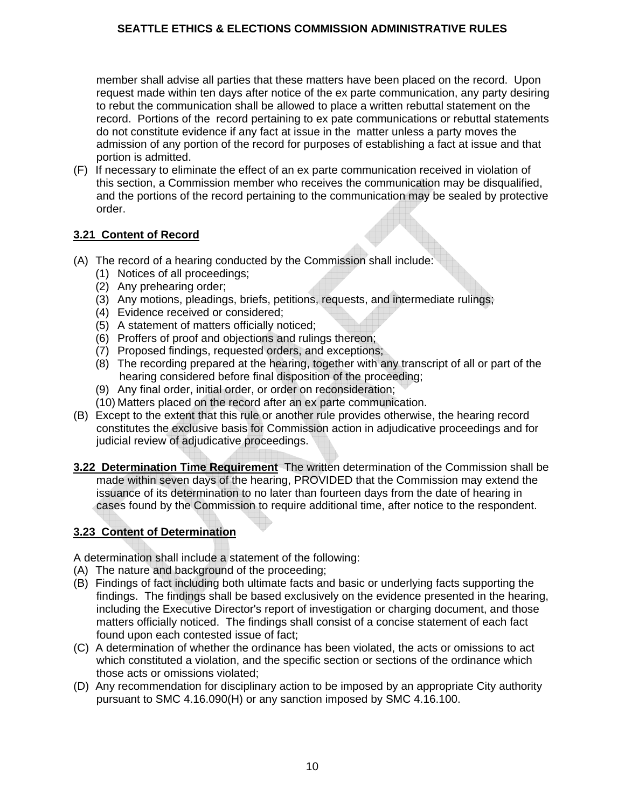member shall advise all parties that these matters have been placed on the record. Upon request made within ten days after notice of the ex parte communication, any party desiring to rebut the communication shall be allowed to place a written rebuttal statement on the record. Portions of the record pertaining to ex pate communications or rebuttal statements do not constitute evidence if any fact at issue in the matter unless a party moves the admission of any portion of the record for purposes of establishing a fact at issue and that portion is admitted.

(F) If necessary to eliminate the effect of an ex parte communication received in violation of this section, a Commission member who receives the communication may be disqualified, and the portions of the record pertaining to the communication may be sealed by protective order.

## **3.21 Content of Record**

- (A) The record of a hearing conducted by the Commission shall include:
	- (1) Notices of all proceedings;
	- (2) Any prehearing order;
	- (3) Any motions, pleadings, briefs, petitions, requests, and intermediate rulings;
	- (4) Evidence received or considered;
	- (5) A statement of matters officially noticed;
	- (6) Proffers of proof and objections and rulings thereon;
	- (7) Proposed findings, requested orders, and exceptions;
	- (8) The recording prepared at the hearing, together with any transcript of all or part of the hearing considered before final disposition of the proceeding;
	- (9) Any final order, initial order, or order on reconsideration;
	- (10) Matters placed on the record after an ex parte communication.
- (B) Except to the extent that this rule or another rule provides otherwise, the hearing record constitutes the exclusive basis for Commission action in adjudicative proceedings and for judicial review of adjudicative proceedings.
- **3.22 Determination Time Requirement** The written determination of the Commission shall be made within seven days of the hearing, PROVIDED that the Commission may extend the issuance of its determination to no later than fourteen days from the date of hearing in cases found by the Commission to require additional time, after notice to the respondent.

# **3.23 Content of Determination**

A determination shall include a statement of the following:

- (A) The nature and background of the proceeding;
- (B) Findings of fact including both ultimate facts and basic or underlying facts supporting the findings. The findings shall be based exclusively on the evidence presented in the hearing, including the Executive Director's report of investigation or charging document, and those matters officially noticed. The findings shall consist of a concise statement of each fact found upon each contested issue of fact;
- (C) A determination of whether the ordinance has been violated, the acts or omissions to act which constituted a violation, and the specific section or sections of the ordinance which those acts or omissions violated;
- (D) Any recommendation for disciplinary action to be imposed by an appropriate City authority pursuant to SMC 4.16.090(H) or any sanction imposed by SMC 4.16.100.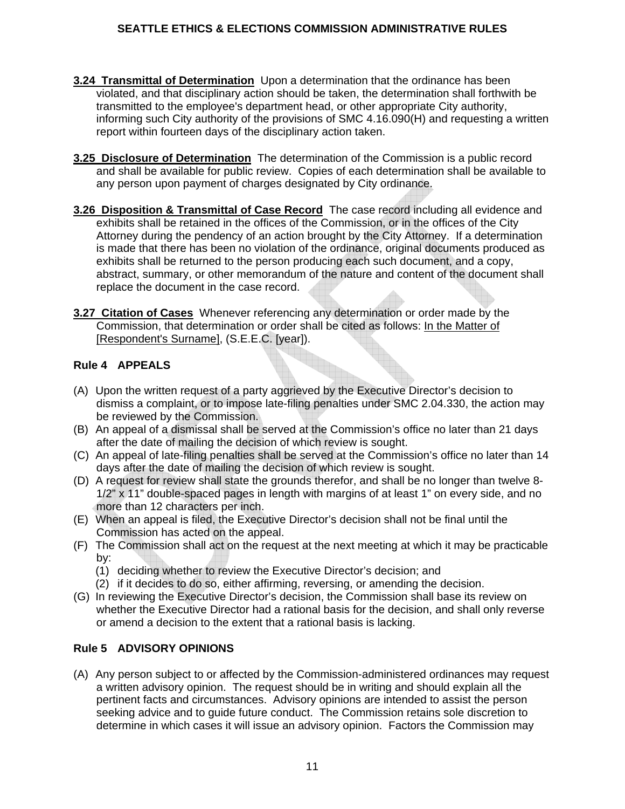- **3.24 Transmittal of Determination** Upon a determination that the ordinance has been violated, and that disciplinary action should be taken, the determination shall forthwith be transmitted to the employee's department head, or other appropriate City authority, informing such City authority of the provisions of SMC 4.16.090(H) and requesting a written report within fourteen days of the disciplinary action taken.
- **3.25 Disclosure of Determination** The determination of the Commission is a public record and shall be available for public review. Copies of each determination shall be available to any person upon payment of charges designated by City ordinance.
- **3.26 Disposition & Transmittal of Case Record** The case record including all evidence and exhibits shall be retained in the offices of the Commission, or in the offices of the City Attorney during the pendency of an action brought by the City Attorney. If a determination is made that there has been no violation of the ordinance, original documents produced as exhibits shall be returned to the person producing each such document, and a copy, abstract, summary, or other memorandum of the nature and content of the document shall replace the document in the case record.
- **3.27 Citation of Cases** Whenever referencing any determination or order made by the Commission, that determination or order shall be cited as follows: In the Matter of [Respondent's Surname], (S.E.E.C. [year]).

## **Rule 4 APPEALS**

- (A) Upon the written request of a party aggrieved by the Executive Director's decision to dismiss a complaint, or to impose late-filing penalties under SMC 2.04.330, the action may be reviewed by the Commission.
- (B) An appeal of a dismissal shall be served at the Commission's office no later than 21 days after the date of mailing the decision of which review is sought.
- (C) An appeal of late-filing penalties shall be served at the Commission's office no later than 14 days after the date of mailing the decision of which review is sought.
- (D) A request for review shall state the grounds therefor, and shall be no longer than twelve 8- 1/2" x 11" double-spaced pages in length with margins of at least 1" on every side, and no more than 12 characters per inch.
- (E) When an appeal is filed, the Executive Director's decision shall not be final until the Commission has acted on the appeal.
- (F) The Commission shall act on the request at the next meeting at which it may be practicable by:
	- (1) deciding whether to review the Executive Director's decision; and
	- (2) if it decides to do so, either affirming, reversing, or amending the decision.
- (G) In reviewing the Executive Director's decision, the Commission shall base its review on whether the Executive Director had a rational basis for the decision, and shall only reverse or amend a decision to the extent that a rational basis is lacking.

#### **Rule 5 ADVISORY OPINIONS**

(A) Any person subject to or affected by the Commission-administered ordinances may request a written advisory opinion. The request should be in writing and should explain all the pertinent facts and circumstances. Advisory opinions are intended to assist the person seeking advice and to guide future conduct. The Commission retains sole discretion to determine in which cases it will issue an advisory opinion. Factors the Commission may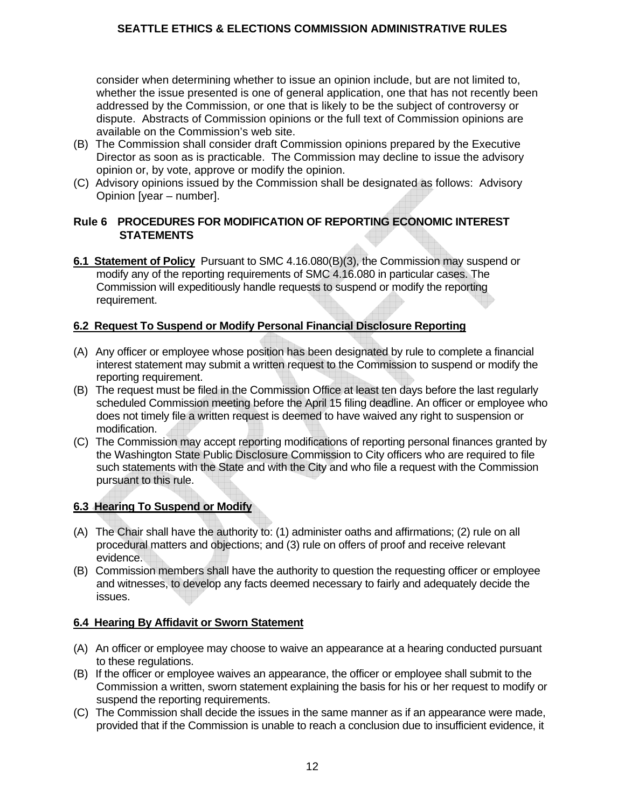consider when determining whether to issue an opinion include, but are not limited to, whether the issue presented is one of general application, one that has not recently been addressed by the Commission, or one that is likely to be the subject of controversy or dispute. Abstracts of Commission opinions or the full text of Commission opinions are available on the Commission's web site.

- (B) The Commission shall consider draft Commission opinions prepared by the Executive Director as soon as is practicable. The Commission may decline to issue the advisory opinion or, by vote, approve or modify the opinion.
- (C) Advisory opinions issued by the Commission shall be designated as follows: Advisory Opinion [year – number].

#### **Rule 6 PROCEDURES FOR MODIFICATION OF REPORTING ECONOMIC INTEREST STATEMENTS**

**6.1 Statement of Policy** Pursuant to SMC 4.16.080(B)(3), the Commission may suspend or modify any of the reporting requirements of SMC 4.16.080 in particular cases. The Commission will expeditiously handle requests to suspend or modify the reporting requirement.

#### **6.2 Request To Suspend or Modify Personal Financial Disclosure Reporting**

- (A) Any officer or employee whose position has been designated by rule to complete a financial interest statement may submit a written request to the Commission to suspend or modify the reporting requirement.
- (B) The request must be filed in the Commission Office at least ten days before the last regularly scheduled Commission meeting before the April 15 filing deadline. An officer or employee who does not timely file a written request is deemed to have waived any right to suspension or modification.
- (C) The Commission may accept reporting modifications of reporting personal finances granted by the Washington State Public Disclosure Commission to City officers who are required to file such statements with the State and with the City and who file a request with the Commission pursuant to this rule.

#### **6.3 Hearing To Suspend or Modify**

- (A) The Chair shall have the authority to: (1) administer oaths and affirmations; (2) rule on all procedural matters and objections; and (3) rule on offers of proof and receive relevant evidence.
- (B) Commission members shall have the authority to question the requesting officer or employee and witnesses, to develop any facts deemed necessary to fairly and adequately decide the issues.

#### **6.4 Hearing By Affidavit or Sworn Statement**

- (A) An officer or employee may choose to waive an appearance at a hearing conducted pursuant to these regulations.
- (B) If the officer or employee waives an appearance, the officer or employee shall submit to the Commission a written, sworn statement explaining the basis for his or her request to modify or suspend the reporting requirements.
- (C) The Commission shall decide the issues in the same manner as if an appearance were made, provided that if the Commission is unable to reach a conclusion due to insufficient evidence, it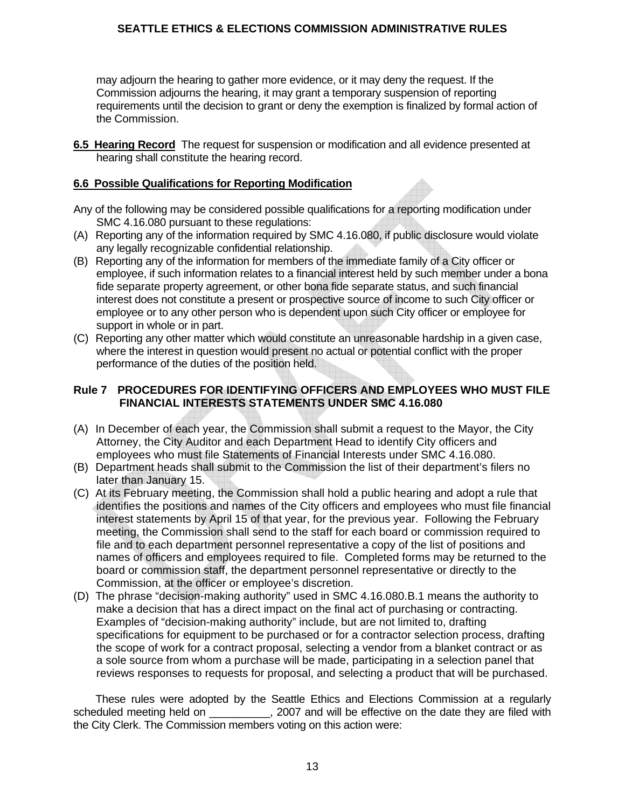may adjourn the hearing to gather more evidence, or it may deny the request. If the Commission adjourns the hearing, it may grant a temporary suspension of reporting requirements until the decision to grant or deny the exemption is finalized by formal action of the Commission.

**6.5 Hearing Record** The request for suspension or modification and all evidence presented at hearing shall constitute the hearing record.

### **6.6 Possible Qualifications for Reporting Modification**

- Any of the following may be considered possible qualifications for a reporting modification under SMC 4.16.080 pursuant to these regulations:
- (A) Reporting any of the information required by SMC 4.16.080, if public disclosure would violate any legally recognizable confidential relationship.
- (B) Reporting any of the information for members of the immediate family of a City officer or employee, if such information relates to a financial interest held by such member under a bona fide separate property agreement, or other bona fide separate status, and such financial interest does not constitute a present or prospective source of income to such City officer or employee or to any other person who is dependent upon such City officer or employee for support in whole or in part.
- (C) Reporting any other matter which would constitute an unreasonable hardship in a given case, where the interest in question would present no actual or potential conflict with the proper performance of the duties of the position held.

## **Rule 7 PROCEDURES FOR IDENTIFYING OFFICERS AND EMPLOYEES WHO MUST FILE FINANCIAL INTERESTS STATEMENTS UNDER SMC 4.16.080**

- (A) In December of each year, the Commission shall submit a request to the Mayor, the City Attorney, the City Auditor and each Department Head to identify City officers and employees who must file Statements of Financial Interests under SMC 4.16.080.
- (B) Department heads shall submit to the Commission the list of their department's filers no later than January 15.
- (C) At its February meeting, the Commission shall hold a public hearing and adopt a rule that identifies the positions and names of the City officers and employees who must file financial interest statements by April 15 of that year, for the previous year. Following the February meeting, the Commission shall send to the staff for each board or commission required to file and to each department personnel representative a copy of the list of positions and names of officers and employees required to file. Completed forms may be returned to the board or commission staff, the department personnel representative or directly to the Commission, at the officer or employee's discretion.
- (D) The phrase "decision-making authority" used in SMC 4.16.080.B.1 means the authority to make a decision that has a direct impact on the final act of purchasing or contracting. Examples of "decision-making authority" include, but are not limited to, drafting specifications for equipment to be purchased or for a contractor selection process, drafting the scope of work for a contract proposal, selecting a vendor from a blanket contract or as a sole source from whom a purchase will be made, participating in a selection panel that reviews responses to requests for proposal, and selecting a product that will be purchased.

 These rules were adopted by the Seattle Ethics and Elections Commission at a regularly scheduled meeting held on \_\_\_\_\_\_\_\_\_\_, 2007 and will be effective on the date they are filed with the City Clerk. The Commission members voting on this action were: